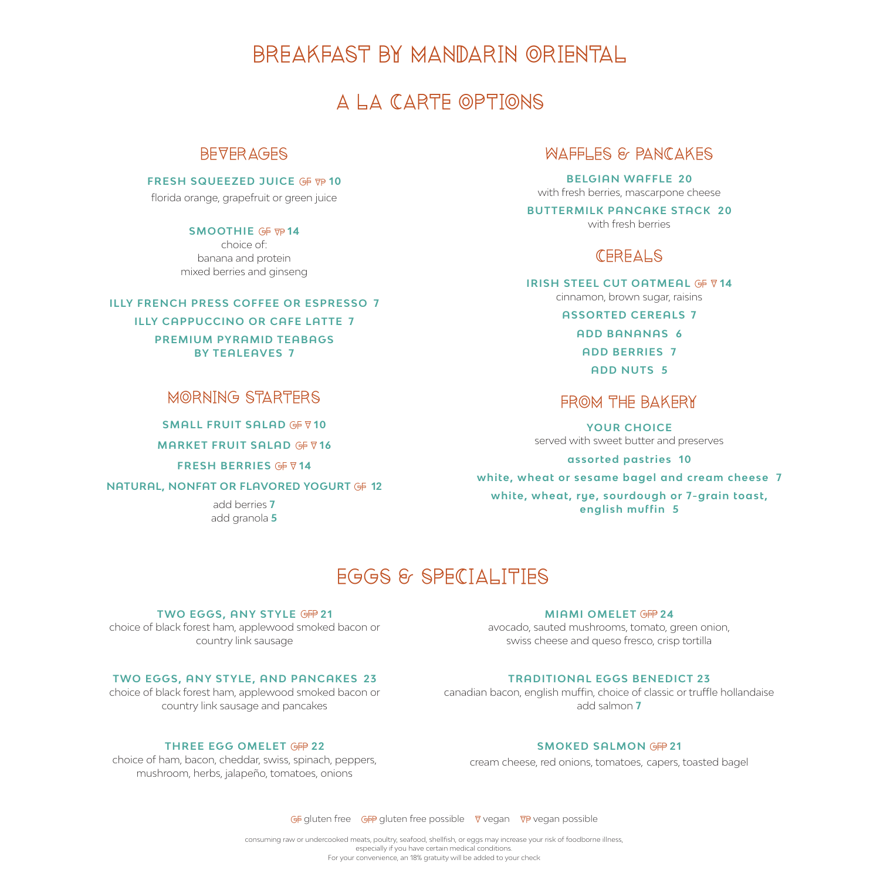# BREAKFAST BY MANDARIN ORIENTAL

# A LA CARTE OPTIONS

# BEVERAGES

#### **FRESH SQUEEZED JUICE GF VP 10**

florida orange, grapefruit or green juice

### **SMOOTHIE** GF Vp **14**

choice of: banana and protein mixed berries and ginseng

### **ILLY FRENCH PRESS COFFEE OR ESPRESSO 7**

**ILLY CAPPUCCINO OR CAFE LATTE 7**

#### **PREMIUM PYRAMID TEABAGS BY TEALEAVES 7**

# MORNING STARTERS

**SMALL FRUIT SALAD GF ₹10** 

**MARKET FRUIT SALAD GF 716** 

**FRESH BERRIES GF ⊽14** 

#### **NATURAL, NONFAT OR FLAVORED YOGURT** GF **12**

add berries **7** add granola **5**

# WAFFLES & PANCAKES

**BELGIAN WAFFLE 20** with fresh berries, mascarpone cheese

**BUTTERMILK PANCAKE STACK 20**

with fresh berries

## CEREALS

#### **IRISH STEEL CUT OATMEAL GF**  $\sqrt{ }$  **14** cinnamon, brown sugar, raisins

**ASSORTED CEREALS 7**

**ADD BANANAS 6**

**ADD BERRIES 7**

**ADD NUTS 5**

# FROM THE BAKERY

**YOUR CHOICE** served with sweet butter and preserves

#### **assorted pastries 10**

**white, wheat or sesame bagel and cream cheese 7**

**white, wheat, rye, sourdough or 7-grain toast, english muffin 5**

# EGGS & SPECIALITIES

#### **TWO EGGS, ANY STYLE** GFP **21**

choice of black forest ham, applewood smoked bacon or country link sausage

## **TWO EGGS, ANY STYLE, AND PANCAKES 23**

choice of black forest ham, applewood smoked bacon or country link sausage and pancakes

#### avocado, sauted mushrooms, tomato, green onion,

swiss cheese and queso fresco, crisp tortilla

**MIAMI OMELET** GFP **24**

## **TRADITIONAL EGGS BENEDICT 23**

canadian bacon, english muffin, choice of classic or truffle hollandaise add salmon **7**

## **THREE EGG OMELET** GFP **22**

choice of ham, bacon, cheddar, swiss, spinach, peppers, mushroom, herbs, jalapeño, tomatoes, onions

## **SMOKED SALMON** GFP **21**

cream cheese, red onions, tomatoes, capers, toasted bagel

GF gluten free GFP gluten free possible  $\nabla$  vegan  $\nabla$ P vegan possible

consuming raw or undercooked meats, poultry, seafood, shellfish, or eggs may increase your risk of foodborne illness, especially if you have certain medical conditions. For your convenience, an 18% gratuity will be added to your check